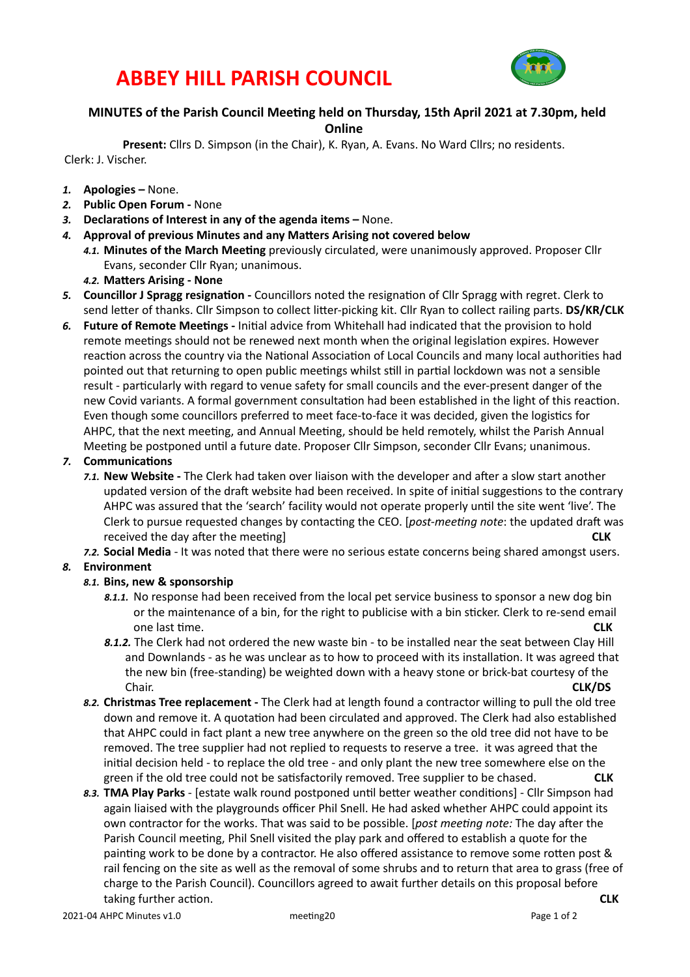## **ABBEY HILL PARISH COUNCIL**



### **MINUTES** of the Parish Council Meeting held on Thursday, 15th April 2021 at 7.30pm, held

**Online** 

Present: Cllrs D. Simpson (in the Chair), K. Ryan, A. Evans. No Ward Cllrs; no residents. Clerk: J. Vischer.

- 1. **Apologies** None.
- 2. **Public Open Forum None**
- 3. **Declarations of Interest in any of the agenda items None.**
- 4. Approval of previous Minutes and any Matters Arising not covered below
	- 4.1. Minutes of the March Meeting previously circulated, were unanimously approved. Proposer Cllr Evans, seconder Cllr Ryan; unanimous.
	- 4.2. Matters Arising None
- 5. Councillor J Spragg resignation Councillors noted the resignation of Cllr Spragg with regret. Clerk to send letter of thanks. Cllr Simpson to collect litter-picking kit. Cllr Ryan to collect railing parts. DS/KR/CLK
- 6. **Future of Remote Meetings** Initial advice from Whitehall had indicated that the provision to hold remote meetings should not be renewed next month when the original legislation expires. However reaction across the country via the National Association of Local Councils and many local authorities had pointed out that returning to open public meetings whilst still in partial lockdown was not a sensible result - particularly with regard to venue safety for small councils and the ever-present danger of the new Covid variants. A formal government consultation had been established in the light of this reaction. Even though some councillors preferred to meet face-to-face it was decided, given the logistics for AHPC, that the next meeting, and Annual Meeting, should be held remotely, whilst the Parish Annual Meeting be postponed until a future date. Proposer Cllr Simpson, seconder Cllr Evans; unanimous.

#### **7.** Communications

7.1. New Website - The Clerk had taken over liaison with the developer and after a slow start another updated version of the draft website had been received. In spite of initial suggestions to the contrary AHPC was assured that the 'search' facility would not operate properly until the site went 'live'. The Clerk to pursue requested changes by contacting the CEO. [*post-meeting note*: the updated draft was received the day after the meeting

7.2. Social Media - It was noted that there were no serious estate concerns being shared amongst users.

#### 8. **Environment**

#### 8.1. Bins, new & sponsorship

- 8.1.1. No response had been received from the local pet service business to sponsor a new dog bin or the maintenance of a bin, for the right to publicise with a bin sticker. Clerk to re-send email one last time. **CLK**
- 8.1.2. The Clerk had not ordered the new waste bin to be installed near the seat between Clay Hill and Downlands - as he was unclear as to how to proceed with its installation. It was agreed that the new bin (free-standing) be weighted down with a heavy stone or brick-bat courtesy of the Chair. **CLK/DS**
- 8.2. **Christmas Tree replacement** The Clerk had at length found a contractor willing to pull the old tree down and remove it. A quotation had been circulated and approved. The Clerk had also established that AHPC could in fact plant a new tree anywhere on the green so the old tree did not have to be removed. The tree supplier had not replied to requests to reserve a tree. it was agreed that the initial decision held - to replace the old tree - and only plant the new tree somewhere else on the green if the old tree could not be satisfactorily removed. Tree supplier to be chased. **CLK**
- 8.3. **TMA Play Parks** [estate walk round postponed until better weather conditions] Cllr Simpson had again liaised with the playgrounds officer Phil Snell. He had asked whether AHPC could appoint its own contractor for the works. That was said to be possible. [*post meeting note:* The day after the Parish Council meeting, Phil Snell visited the play park and offered to establish a quote for the painting work to be done by a contractor. He also offered assistance to remove some rotten post & rail fencing on the site as well as the removal of some shrubs and to return that area to grass (free of charge to the Parish Council). Councillors agreed to await further details on this proposal before taking further acHon.  **CLK**